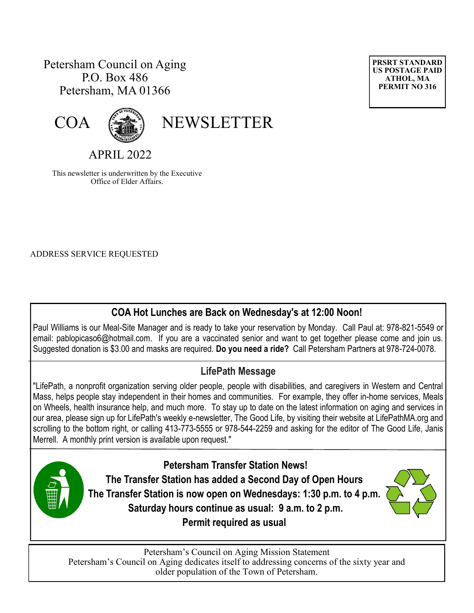# Petersham Council on Aging P.O. Box 486 Petersham, MA 01366





COA (

APRIL 2022

This newsletter is underwritten by the Executive Office of Elder Affairs.

ADDRESS SERVICE REQUESTED

# **COA Hot Lunches are Back on Wednesday's at 12:00 Noon!**

Paul Williams is our Meal-Site Manager and is ready to take your reservation by Monday. Call Paul at: 978-821-5549 or email: [pablopicaso6@hotmail.com.](mailto:pablopicaso6@hotmail.com) If you are a vaccinated senior and want to get together please come and join us. Suggested donation is \$3.00 and masks are required. **Do you need a ride?** Call Petersham Partners at 978-724-0078.

# **LifePath Message**

"LifePath, a nonprofit organization serving older people, people with disabilities, and caregivers in Western and Central Mass, helps people stay independent in their homes and communities. For example, they offer in-home services, Meals on Wheels, health insurance help, and much more. To stay up to date on the latest information on aging and services in our area, please sign up for LifePath's weekly e-newsletter, The Good Life, by visiting their website at LifePathMA.org and scrolling to the bottom right, or calling 413-773-5555 or 978-544-2259 and asking for the editor of The Good Life, Janis Merrell. A monthly print version is available upon request."

> **Petersham Transfer Station News! The Transfer Station has added a Second Day of Open Hours The Transfer Station is now open on Wednesdays: 1:30 p.m. to 4 p.m. Saturday hours continue as usual: 9 a.m. to 2 p.m. Permit required as usual**



Petersham's Council on Aging Mission Statement Petersham's Council on Aging dedicates itself to addressing concerns of the sixty year and older population of the Town of Petersham.

**PRSRT STANDARD US POSTAGE PAID ATHOL, MA PERMIT NO 316**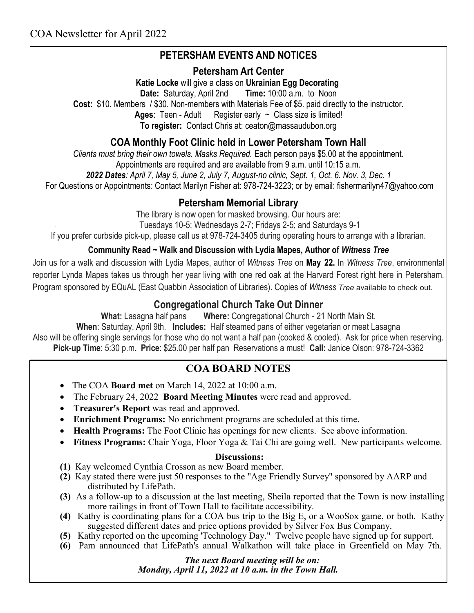# **PETERSHAM EVENTS AND NOTICES**

## **Petersham Art Center**

**Katie Locke** will give a class on **Ukrainian Egg Decorating**

**Date:** Saturday, April 2nd **Time:** 10:00 a.m. to Noon

**Cost:** \$10. Members / \$30. Non-members with Materials Fee of \$5. paid directly to the instructor.

Ages: Teen - Adult Register early ~ Class size is limited!

**To register:** Contact Chris at: [ceaton@massaudubon.org](mailto:ceaton@massaudubon.org)

## **COA Monthly Foot Clinic held in Lower Petersham Town Hall**

*Clients must bring their own towels. Masks Required.* Each person pays \$5.00 at the appointment.

Appointments are required and are available from 9 a.m. until 10:15 a.m.

*2022 Dates: April 7, May 5, June 2, July 7, August-no clinic, Sept. 1, Oct. 6. Nov. 3, Dec. 1*

For Questions or Appointments: Contact Marilyn Fisher at: 978-724-3223; or by email: fishermarilyn47@yahoo.com

## **Petersham Memorial Library**

The library is now open for masked browsing. Our hours are:

Tuesdays 10-5; Wednesdays 2-7; Fridays 2-5; and Saturdays 9-1

If you prefer curbside pick-up, please call us at 978-724-3405 during operating hours to arrange with a librarian.

### **Community Read ~ Walk and Discussion with Lydia Mapes, Author of** *Witness Tree*

Join us for a walk and discussion with Lydia Mapes, author of *Witness Tree* on **May 22.** In *Witness Tree*, environmental reporter Lynda Mapes takes us through her year living with one red oak at the Harvard Forest right here in Petersham. Program sponsored by EQuAL (East Quabbin Association of Libraries). Copies of *Witness Tree* available to check out.

## **Congregational Church Take Out Dinner**

**What:** Lasagna half pans **Where:** Congregational Church - 21 North Main St.

**When**: Saturday, April 9th. **Includes:** Half steamed pans of either vegetarian or meat Lasagna Also will be offering single servings for those who do not want a half pan (cooked & cooled). Ask for price when reserving. **Pick-up Time**: 5:30 p.m. **Price**: \$25.00 per half pan Reservations a must! **Call:** Janice Olson: 978-724-3362

# **COA BOARD NOTES**

- The COA **Board met** on March 14, 2022 at 10:00 a.m.
- The February 24, 2022 **Board Meeting Minutes** were read and approved.
- **Treasurer's Report** was read and approved.
- **Enrichment Programs:** No enrichment programs are scheduled at this time.
- **Health Programs:** The Foot Clinic has openings for new clients. See above information.
- Fitness Programs: Chair Yoga, Floor Yoga & Tai Chi are going well. New participants welcome.

### **Discussions:**

- **(1)** Kay welcomed Cynthia Crosson as new Board member.
- **(2)** Kay stated there were just 50 responses to the "Age Friendly Survey" sponsored by AARP and distributed by LifePath.
- **(3)** As a follow-up to a discussion at the last meeting, Sheila reported that the Town is now installing more railings in front of Town Hall to facilitate accessibility.
- **(4)** Kathy is coordinating plans for a COA bus trip to the Big E, or a WooSox game, or both. Kathy suggested different dates and price options provided by Silver Fox Bus Company.
- **(5)** Kathy reported on the upcoming 'Technology Day." Twelve people have signed up for support.
- **(6)** Pam announced that LifePath's annual Walkathon will take place in Greenfield on May 7th.

## *The next Board meeting will be on:*

*Monday, April 11, 2022 at 10 a.m. in the Town Hall.*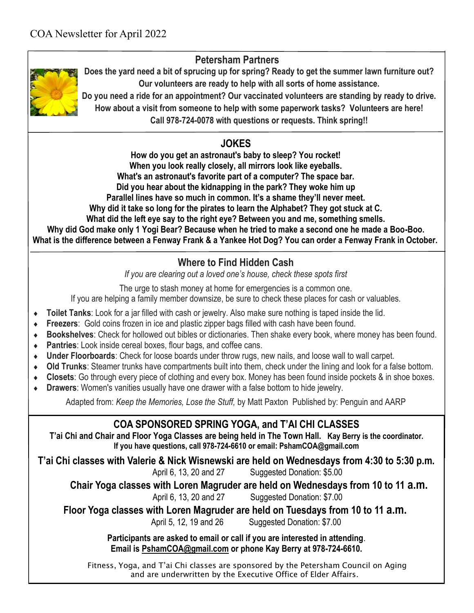## **Petersham Partners**



**Does the yard need a bit of sprucing up for spring? Ready to get the summer lawn furniture out? Our volunteers are ready to help with all sorts of home assistance.** 

**Do you need a ride for an appointment? Our vaccinated volunteers are standing by ready to drive. How about a visit from someone to help with some paperwork tasks? Volunteers are here!** 

**Call 978-724-0078 with questions or requests. Think spring!!**

## **JOKES**

**How do you get an astronaut's baby to sleep? You rocket! When you look really closely, all mirrors look like eyeballs. What's an astronaut's favorite part of a computer? The space bar. Did you hear about the kidnapping in the park? They woke him up Parallel lines have so much in common. It's a shame they'll never meet. Why did it take so long for the pirates to learn the Alphabet? They got stuck at C. What did the left eye say to the right eye? Between you and me, something smells. Why did God make only 1 Yogi Bear? Because when he tried to make a second one he made a Boo-Boo. What is the difference between a Fenway Frank & a Yankee Hot Dog? You can order a Fenway Frank in October.**

#### **Where to Find Hidden Cash**

*If you are clearing out a loved one's house, check these spots first*

The urge to stash money at home for emergencies is a common one.

If you are helping a family member downsize, be sure to check these places for cash or valuables.

- **Toilet Tanks**: Look for a jar filled with cash or jewelry. Also make sure nothing is taped inside the lid.
- **Freezers**: Gold coins frozen in ice and plastic zipper bags filled with cash have been found.
- **Bookshelves**: Check for hollowed out bibles or dictionaries. Then shake every book, where money has been found.
- **Pantries**: Look inside cereal boxes, flour bags, and coffee cans.
- **Under Floorboards**: Check for loose boards under throw rugs, new nails, and loose wall to wall carpet.
- **Old Trunks**: Steamer trunks have compartments built into them, check under the lining and look for a false bottom.
- **Closets**: Go through every piece of clothing and every box. Money has been found inside pockets & in shoe boxes.
- **Drawers**: Women's vanities usually have one drawer with a false bottom to hide jewelry.

Adapted from: *Keep the Memories, Lose the Stuff,* by Matt Paxton Published by: Penguin and AARP

# **COA SPONSORED SPRING YOGA, and T'AI CHI CLASSES**

**T'ai Chi and Chair and Floor Yoga Classes are being held in The Town Hall. Kay Berry is the coordinator. If you have questions, call 978-724-6610 or email: PshamCOA@gmail.com**

**T'ai Chi classes with Valerie & Nick Wisnewski are held on Wednesdays from 4:30 to 5:30 p.m.** 

April 6, 13, 20 and 27 Suggested Donation: \$5.00

**Chair Yoga classes with Loren Magruder are held on Wednesdays from 10 to 11 a.m.**

April 6, 13, 20 and 27 Suggested Donation: \$7.00

**Floor Yoga classes with Loren Magruder are held on Tuesdays from 10 to 11 a.m.**

April 5, 12, 19 and 26 Suggested Donation: \$7.00

**Participants are asked to email or call if you are interested in attending**. **Email is [PshamCOA@gmail.com](mailto:PshamCOA@gmail.com) or phone Kay Berry at 978-724-6610.** 

Fitness, Yoga, and T'ai Chi classes are sponsored by the Petersham Council on Aging and are underwritten by the Executive Office of Elder Affairs.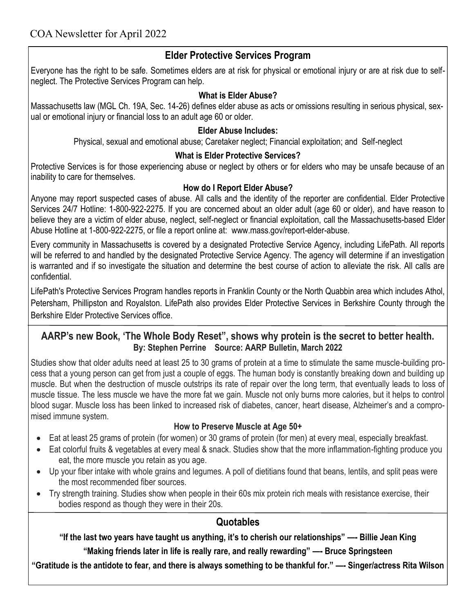## **Elder Protective Services Program**

Everyone has the right to be safe. Sometimes elders are at risk for physical or emotional injury or are at risk due to selfneglect. The Protective Services Program can help.

### **What is Elder Abuse?**

Massachusetts law (MGL Ch. 19A, Sec. 14-26) defines elder abuse as acts or omissions resulting in serious physical, sexual or emotional injury or financial loss to an adult age 60 or older.

### **Elder Abuse Includes:**

Physical, sexual and emotional abuse; Caretaker neglect; Financial exploitation; and Self-neglect

### **What is Elder Protective Services?**

Protective Services is for those experiencing abuse or neglect by others or for elders who may be unsafe because of an inability to care for themselves.

### **How do I Report Elder Abuse?**

Anyone may report suspected cases of abuse. All calls and the identity of the reporter are confidential. Elder Protective Services 24/7 Hotline: 1-800-922-2275. If you are concerned about an older adult (age 60 or older), and have reason to believe they are a victim of elder abuse, neglect, self-neglect or financial exploitation, call the Massachusetts-based Elder Abuse Hotline at 1-800-922-2275, or file a report online at: [www.mass.gov/report-elder-abuse.](https://www.mass.gov/report-elder-abuse)

Every community in Massachusetts is covered by a designated Protective Service Agency, including LifePath. All reports will be referred to and handled by the designated Protective Service Agency. The agency will determine if an investigation is warranted and if so investigate the situation and determine the best course of action to alleviate the risk. All calls are confidential.

LifePath's Protective Services Program handles reports in Franklin County or the North Quabbin area which includes Athol, Petersham, Phillipston and Royalston. LifePath also provides Elder Protective Services in Berkshire County through the Berkshire Elder Protective Services office.

### **AARP's new Book, 'The Whole Body Reset", shows why protein is the secret to better health. By: Stephen Perrine Source: AARP Bulletin, March 2022**

Studies show that older adults need at least 25 to 30 grams of protein at a time to stimulate the same muscle-building process that a young person can get from just a couple of eggs. The human body is constantly breaking down and building up muscle. But when the destruction of muscle outstrips its rate of repair over the long term, that eventually leads to loss of muscle tissue. The less muscle we have the more fat we gain. Muscle not only burns more calories, but it helps to control blood sugar. Muscle loss has been linked to increased risk of diabetes, cancer, heart disease, Alzheimer's and a compromised immune system.

### **How to Preserve Muscle at Age 50+**

- Eat at least 25 grams of protein (for women) or 30 grams of protein (for men) at every meal, especially breakfast.
- Eat colorful fruits & vegetables at every meal & snack. Studies show that the more inflammation-fighting produce you eat, the more muscle you retain as you age.
- Up your fiber intake with whole grains and legumes. A poll of dietitians found that beans, lentils, and split peas were the most recommended fiber sources.
- Try strength training. Studies show when people in their 60s mix protein rich meals with resistance exercise, their bodies respond as though they were in their 20s.

## **Quotables**

**"If the last two years have taught us anything, it's to cherish our relationships" —- Billie Jean King**

**"Making friends later in life is really rare, and really rewarding" —- Bruce Springsteen**

**"Gratitude is the antidote to fear, and there is always something to be thankful for." —- Singer/actress Rita Wilson**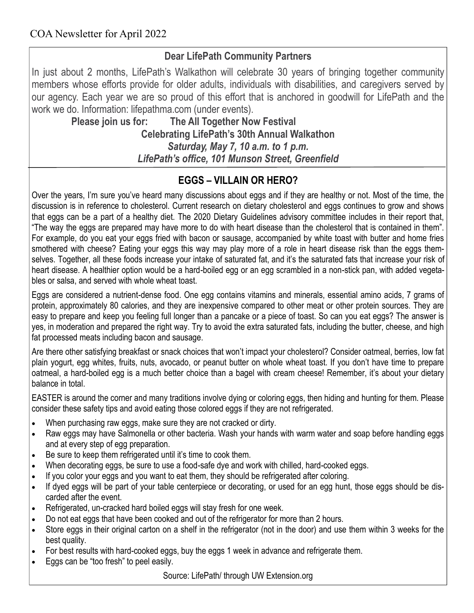# **Dear LifePath Community Partners**

In just about 2 months, LifePath's Walkathon will celebrate 30 years of bringing together community members whose efforts provide for older adults, individuals with disabilities, and caregivers served by our agency. Each year we are so proud of this effort that is anchored in goodwill for LifePath and the work we do. Information: lifepathma.com (under events).

 **Please join us for: The All Together Now Festival Celebrating LifePath's 30th Annual Walkathon** *Saturday, May 7, 10 a.m. to 1 p.m. LifePath's office, 101 Munson Street, Greenfield*

# **EGGS – VILLAIN OR HERO?**

Over the years, I'm sure you've heard many discussions about eggs and if they are healthy or not. Most of the time, the discussion is in reference to cholesterol. Current research on dietary cholesterol and eggs continues to grow and shows that eggs can be a part of a healthy diet. The 2020 Dietary Guidelines advisory committee includes in their report that, "The way the eggs are prepared may have more to do with heart disease than the cholesterol that is contained in them". For example, do you eat your eggs fried with bacon or sausage, accompanied by white toast with butter and home fries smothered with cheese? Eating your eggs this way may play more of a role in heart disease risk than the eggs themselves. Together, all these foods increase your intake of saturated fat, and it's the saturated fats that increase your risk of heart disease. A healthier option would be a hard-boiled egg or an egg scrambled in a non-stick pan, with added vegetables or salsa, and served with whole wheat toast.

Eggs are considered a nutrient-dense food. One egg contains vitamins and minerals, essential amino acids, 7 grams of protein, approximately 80 calories, and they are inexpensive compared to other meat or other protein sources. They are easy to prepare and keep you feeling full longer than a pancake or a piece of toast. So can you eat eggs? The answer is yes, in moderation and prepared the right way. Try to avoid the extra saturated fats, including the butter, cheese, and high fat processed meats including bacon and sausage.

Are there other satisfying breakfast or snack choices that won't impact your cholesterol? Consider oatmeal, berries, low fat plain yogurt, egg whites, fruits, nuts, avocado, or peanut butter on whole wheat toast. If you don't have time to prepare oatmeal, a hard-boiled egg is a much better choice than a bagel with cream cheese! Remember, it's about your dietary balance in total.

EASTER is around the corner and many traditions involve dying or coloring eggs, then hiding and hunting for them. Please consider these safety tips and avoid eating those colored eggs if they are not refrigerated.

- When purchasing raw eggs, make sure they are not cracked or dirty.
- Raw eggs may have Salmonella or other bacteria. Wash your hands with warm water and soap before handling eggs and at every step of egg preparation.
- Be sure to keep them refrigerated until it's time to cook them.
- When decorating eggs, be sure to use a food-safe dye and work with chilled, hard-cooked eggs.
- If you color your eggs and you want to eat them, they should be refrigerated after coloring.
- If dyed eggs will be part of your table centerpiece or decorating, or used for an egg hunt, those eggs should be discarded after the event.
- Refrigerated, un-cracked hard boiled eggs will stay fresh for one week.
- Do not eat eggs that have been cooked and out of the refrigerator for more than 2 hours.
- Store eggs in their original carton on a shelf in the refrigerator (not in the door) and use them within 3 weeks for the best quality.
- For best results with hard-cooked eggs, buy the eggs 1 week in advance and refrigerate them.
- Eggs can be "too fresh" to peel easily.

Source: LifePath/ through UW Extension.org